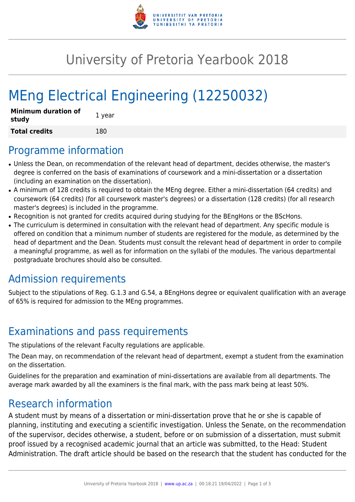

## University of Pretoria Yearbook 2018

# MEng Electrical Engineering (12250032)

| <b>Minimum duration of</b><br>study | 1 year |
|-------------------------------------|--------|
| <b>Total credits</b>                | 180    |

#### Programme information

- Unless the Dean, on recommendation of the relevant head of department, decides otherwise, the master's degree is conferred on the basis of examinations of coursework and a mini-dissertation or a dissertation (including an examination on the dissertation).
- A minimum of 128 credits is required to obtain the MEng degree. Either a mini-dissertation (64 credits) and coursework (64 credits) (for all coursework master's degrees) or a dissertation (128 credits) (for all research master's degrees) is included in the programme.
- Recognition is not granted for credits acquired during studying for the BEngHons or the BScHons.
- The curriculum is determined in consultation with the relevant head of department. Any specific module is offered on condition that a minimum number of students are registered for the module, as determined by the head of department and the Dean. Students must consult the relevant head of department in order to compile a meaningful programme, as well as for information on the syllabi of the modules. The various departmental postgraduate brochures should also be consulted.

## Admission requirements

Subject to the stipulations of Reg. G.1.3 and G.54, a BEngHons degree or equivalent qualification with an average of 65% is required for admission to the MEng programmes.

## Examinations and pass requirements

The stipulations of the relevant Faculty regulations are applicable.

The Dean may, on recommendation of the relevant head of department, exempt a student from the examination on the dissertation.

Guidelines for the preparation and examination of mini-dissertations are available from all departments. The average mark awarded by all the examiners is the final mark, with the pass mark being at least 50%.

#### Research information

A student must by means of a dissertation or mini-dissertation prove that he or she is capable of planning, instituting and executing a scientific investigation. Unless the Senate, on the recommendation of the supervisor, decides otherwise, a student, before or on submission of a dissertation, must submit proof issued by a recognised academic journal that an article was submitted, to the Head: Student Administration. The draft article should be based on the research that the student has conducted for the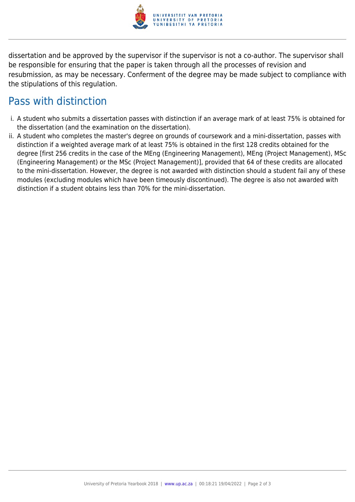

dissertation and be approved by the supervisor if the supervisor is not a co-author. The supervisor shall be responsible for ensuring that the paper is taken through all the processes of revision and resubmission, as may be necessary. Conferment of the degree may be made subject to compliance with the stipulations of this regulation.

#### Pass with distinction

- i. A student who submits a dissertation passes with distinction if an average mark of at least 75% is obtained for the dissertation (and the examination on the dissertation).
- ii. A student who completes the master's degree on grounds of coursework and a mini-dissertation, passes with distinction if a weighted average mark of at least 75% is obtained in the first 128 credits obtained for the degree [first 256 credits in the case of the MEng (Engineering Management), MEng (Project Management), MSc (Engineering Management) or the MSc (Project Management)], provided that 64 of these credits are allocated to the mini-dissertation. However, the degree is not awarded with distinction should a student fail any of these modules (excluding modules which have been timeously discontinued). The degree is also not awarded with distinction if a student obtains less than 70% for the mini-dissertation.